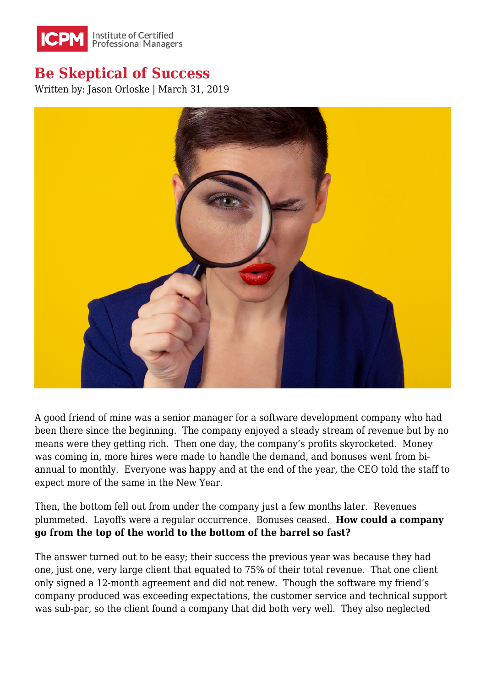

## **Be Skeptical of Success**

Written by: Jason Orloske | March 31, 2019



A good friend of mine was a senior manager for a software development company who had been there since the beginning. The company enjoyed a steady stream of revenue but by no means were they getting rich. Then one day, the company's profits skyrocketed. Money was coming in, more hires were made to handle the demand, and bonuses went from biannual to monthly. Everyone was happy and at the end of the year, the CEO told the staff to expect more of the same in the New Year.

Then, the bottom fell out from under the company just a few months later. Revenues plummeted. Layoffs were a regular occurrence. Bonuses ceased. **How could a company go from the top of the world to the bottom of the barrel so fast?**

The answer turned out to be easy; their success the previous year was because they had one, just one, very large client that equated to 75% of their total revenue. That one client only signed a 12-month agreement and did not renew. Though the software my friend's company produced was exceeding expectations, the customer service and technical support was sub-par, so the client found a company that did both very well. They also neglected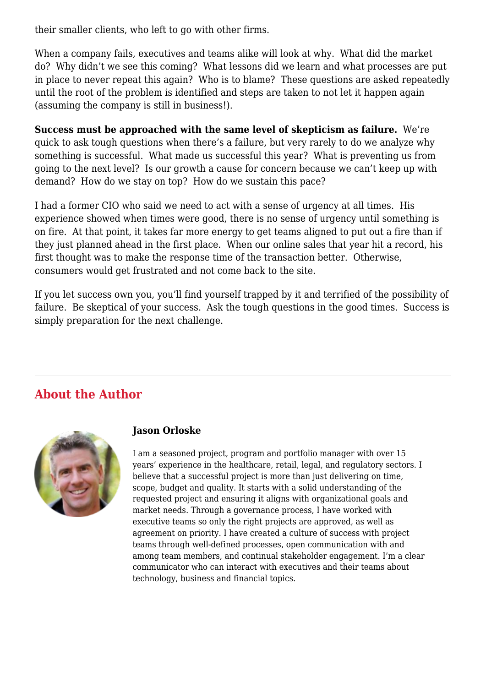their smaller clients, who left to go with other firms.

When a company fails, executives and teams alike will look at why. What did the market do? Why didn't we see this coming? What lessons did we learn and what processes are put in place to never repeat this again? Who is to blame? These questions are asked repeatedly until the root of the problem is identified and steps are taken to not let it happen again (assuming the company is still in business!).

**Success must be approached with the same level of skepticism as failure.** We're quick to ask tough questions when there's a failure, but very rarely to do we analyze why something is successful. What made us successful this year? What is preventing us from going to the next level? Is our growth a cause for concern because we can't keep up with demand? How do we stay on top? How do we sustain this pace?

I had a former CIO who said we need to act with a sense of urgency at all times. His experience showed when times were good, there is no sense of urgency until something is on fire. At that point, it takes far more energy to get teams aligned to put out a fire than if they just planned ahead in the first place. When our online sales that year hit a record, his first thought was to make the response time of the transaction better. Otherwise, consumers would get frustrated and not come back to the site.

If you let success own you, you'll find yourself trapped by it and terrified of the possibility of failure. Be skeptical of your success. Ask the tough questions in the good times. Success is simply preparation for the next challenge.

## **About the Author**



## **Jason Orloske**

I am a seasoned project, program and portfolio manager with over 15 years' experience in the healthcare, retail, legal, and regulatory sectors. I believe that a successful project is more than just delivering on time, scope, budget and quality. It starts with a solid understanding of the requested project and ensuring it aligns with organizational goals and market needs. Through a governance process, I have worked with executive teams so only the right projects are approved, as well as agreement on priority. I have created a culture of success with project teams through well-defined processes, open communication with and among team members, and continual stakeholder engagement. I'm a clear communicator who can interact with executives and their teams about technology, business and financial topics.